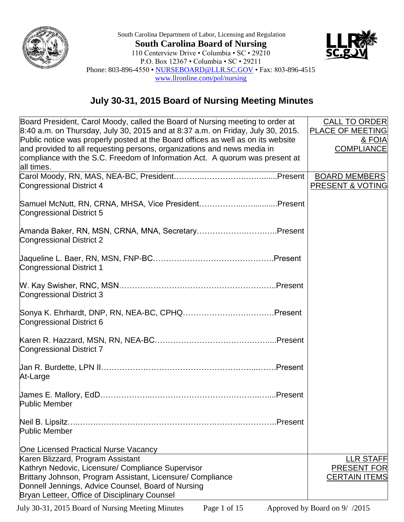

South Carolina Department of Labor, Licensing and Regulation **South Carolina Board of Nursing** 110 Centerview Drive • Columbia • SC • 29210 P.O. Box 12367 • Columbia • SC • 29211 Phone: 803-896-4550 • [NURSEBOARD@LLR.SC.GOV](mailto:NURSEBOARD@LLR.SC.GOV) • Fax: 803-896-4515 [www.llronline.com/pol/nursing](http://www.llronline.com/pol/nursing)



## **July 30-31, 2015 Board of Nursing Meeting Minutes**

| Board President, Carol Moody, called the Board of Nursing meeting to order at    | <b>CALL TO ORDER</b>        |
|----------------------------------------------------------------------------------|-----------------------------|
|                                                                                  |                             |
| 8:40 a.m. on Thursday, July 30, 2015 and at 8:37 a.m. on Friday, July 30, 2015.  | <b>PLACE OF MEETING</b>     |
| Public notice was properly posted at the Board offices as well as on its website | & FOIA                      |
| and provided to all requesting persons, organizations and news media in          | <b>COMPLIANCE</b>           |
| compliance with the S.C. Freedom of Information Act. A quorum was present at     |                             |
| all times.                                                                       |                             |
|                                                                                  | <b>BOARD MEMBERS</b>        |
| <b>Congressional District 4</b>                                                  | <b>PRESENT &amp; VOTING</b> |
|                                                                                  |                             |
| Samuel McNutt, RN, CRNA, MHSA, Vice PresidentPresent                             |                             |
|                                                                                  |                             |
| Congressional District 5                                                         |                             |
|                                                                                  |                             |
| Amanda Baker, RN, MSN, CRNA, MNA, SecretaryPresent                               |                             |
| <b>Congressional District 2</b>                                                  |                             |
|                                                                                  |                             |
|                                                                                  |                             |
| <b>Congressional District 1</b>                                                  |                             |
|                                                                                  |                             |
|                                                                                  |                             |
|                                                                                  |                             |
| Congressional District 3                                                         |                             |
|                                                                                  |                             |
|                                                                                  |                             |
| Congressional District 6                                                         |                             |
|                                                                                  |                             |
|                                                                                  |                             |
| <b>Congressional District 7</b>                                                  |                             |
|                                                                                  |                             |
|                                                                                  |                             |
| At-Large                                                                         |                             |
|                                                                                  |                             |
|                                                                                  |                             |
| <b>Public Member</b>                                                             |                             |
|                                                                                  |                             |
|                                                                                  |                             |
| Neil B. Lipsitz.<br>.Present                                                     |                             |
| Public Member                                                                    |                             |
|                                                                                  |                             |
| One Licensed Practical Nurse Vacancy                                             |                             |
| Karen Blizzard, Program Assistant                                                | <b>LLR STAFF</b>            |
| Kathryn Nedovic, Licensure/ Compliance Supervisor                                | <b>PRESENT FOR</b>          |
| Brittany Johnson, Program Assistant, Licensure/ Compliance                       | <b>CERTAIN ITEMS</b>        |
| Donnell Jennings, Advice Counsel, Board of Nursing                               |                             |
| Bryan Letteer, Office of Disciplinary Counsel                                    |                             |
|                                                                                  |                             |

July 30-31, 2015 Board of Nursing Meeting Minutes Page 1 of 15 Approved by Board on 9/ /2015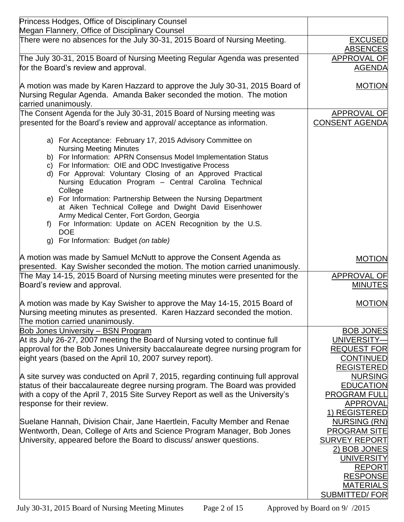| <b>Princess Hodges, Office of Disciplinary Counsel</b>                                                                |                                        |
|-----------------------------------------------------------------------------------------------------------------------|----------------------------------------|
| Megan Flannery, Office of Disciplinary Counsel                                                                        |                                        |
| There were no absences for the July 30-31, 2015 Board of Nursing Meeting.                                             | <b>EXCUSED</b><br><b>ABSENCES</b>      |
| The July 30-31, 2015 Board of Nursing Meeting Regular Agenda was presented                                            | <b>APPROVAL OF</b>                     |
| for the Board's review and approval.                                                                                  | <b>AGENDA</b>                          |
| A motion was made by Karen Hazzard to approve the July 30-31, 2015 Board of                                           | <b>MOTION</b>                          |
| Nursing Regular Agenda. Amanda Baker seconded the motion. The motion                                                  |                                        |
| carried unanimously.                                                                                                  |                                        |
| The Consent Agenda for the July 30-31, 2015 Board of Nursing meeting was                                              | <b>APPROVAL OF</b>                     |
| presented for the Board's review and approval/acceptance as information.                                              | <b>CONSENT AGENDA</b>                  |
| a) For Acceptance: February 17, 2015 Advisory Committee on                                                            |                                        |
| <b>Nursing Meeting Minutes</b>                                                                                        |                                        |
| b) For Information: APRN Consensus Model Implementation Status                                                        |                                        |
| c) For Information: OIE and ODC Investigative Process                                                                 |                                        |
| d) For Approval: Voluntary Closing of an Approved Practical<br>Nursing Education Program - Central Carolina Technical |                                        |
| College                                                                                                               |                                        |
| e) For Information: Partnership Between the Nursing Department                                                        |                                        |
| at Aiken Technical College and Dwight David Eisenhower                                                                |                                        |
| Army Medical Center, Fort Gordon, Georgia                                                                             |                                        |
| For Information: Update on ACEN Recognition by the U.S.<br>f)                                                         |                                        |
| <b>DOE</b>                                                                                                            |                                        |
| g) For Information: Budget (on table)                                                                                 |                                        |
| A motion was made by Samuel McNutt to approve the Consent Agenda as                                                   | <b>MOTION</b>                          |
| presented. Kay Swisher seconded the motion. The motion carried unanimously.                                           |                                        |
| The May 14-15, 2015 Board of Nursing meeting minutes were presented for the                                           | APPROVAL OF                            |
| Board's review and approval.                                                                                          | <b>MINUTES</b>                         |
| A motion was made by Kay Swisher to approve the May 14-15, 2015 Board of                                              | <b>MOTION</b>                          |
| Nursing meeting minutes as presented. Karen Hazzard seconded the motion.                                              |                                        |
| The motion carried unanimously.                                                                                       |                                        |
| <b>Bob Jones University - BSN Program</b>                                                                             | <b>BOB JONES</b>                       |
| At its July 26-27, 2007 meeting the Board of Nursing voted to continue full                                           | UNIVERSITY-                            |
| approval for the Bob Jones University baccalaureate degree nursing program for                                        | <b>REQUEST FOR</b>                     |
| eight years (based on the April 10, 2007 survey report).                                                              | <b>CONTINUED</b>                       |
|                                                                                                                       | <b>REGISTERED</b>                      |
| A site survey was conducted on April 7, 2015, regarding continuing full approval                                      | <b>NURSING</b>                         |
| status of their baccalaureate degree nursing program. The Board was provided                                          | <b>EDUCATION</b>                       |
| with a copy of the April 7, 2015 Site Survey Report as well as the University's                                       | <b>PROGRAM FULL</b><br><b>APPROVAL</b> |
| response for their review.                                                                                            | 1) REGISTERED                          |
| Suelane Hannah, Division Chair, Jane Haertlein, Faculty Member and Renae                                              | <b>NURSING (RN)</b>                    |
| Wentworth, Dean, College of Arts and Science Program Manager, Bob Jones                                               | <b>PROGRAM SITE</b>                    |
| University, appeared before the Board to discuss/ answer questions.                                                   | <b>SURVEY REPORT</b>                   |
|                                                                                                                       | 2) BOB JONES                           |
|                                                                                                                       | <b>UNIVERSITY</b>                      |
|                                                                                                                       | <b>REPORT</b>                          |
|                                                                                                                       | <b>RESPONSE</b>                        |
|                                                                                                                       | <b>MATERIALS</b>                       |
|                                                                                                                       | <b>SUBMITTED/FOR</b>                   |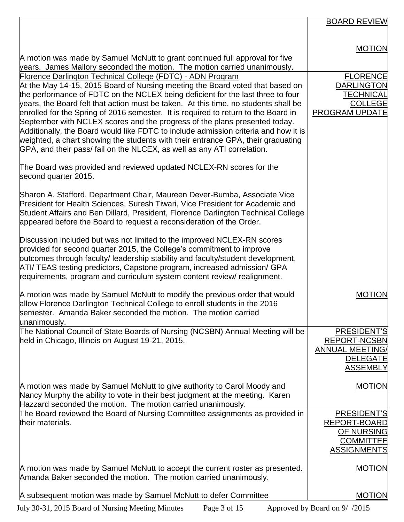|                                                                                                                                                                                                                                                                                                                                                                                                                                                                                                                                                                                                  | <b>BOARD REVIEW</b>                                                                                |
|--------------------------------------------------------------------------------------------------------------------------------------------------------------------------------------------------------------------------------------------------------------------------------------------------------------------------------------------------------------------------------------------------------------------------------------------------------------------------------------------------------------------------------------------------------------------------------------------------|----------------------------------------------------------------------------------------------------|
|                                                                                                                                                                                                                                                                                                                                                                                                                                                                                                                                                                                                  |                                                                                                    |
| A motion was made by Samuel McNutt to grant continued full approval for five                                                                                                                                                                                                                                                                                                                                                                                                                                                                                                                     | <b>MOTION</b>                                                                                      |
| years. James Mallory seconded the motion. The motion carried unanimously.<br>Florence Darlington Technical College (FDTC) - ADN Program                                                                                                                                                                                                                                                                                                                                                                                                                                                          | <b>FLORENCE</b>                                                                                    |
| At the May 14-15, 2015 Board of Nursing meeting the Board voted that based on                                                                                                                                                                                                                                                                                                                                                                                                                                                                                                                    | <b>DARLINGTON</b>                                                                                  |
| the performance of FDTC on the NCLEX being deficient for the last three to four<br>years, the Board felt that action must be taken. At this time, no students shall be<br>enrolled for the Spring of 2016 semester. It is required to return to the Board in<br>September with NCLEX scores and the progress of the plans presented today.<br>Additionally, the Board would like FDTC to include admission criteria and how it is<br>weighted, a chart showing the students with their entrance GPA, their graduating<br>GPA, and their pass/ fail on the NLCEX, as well as any ATI correlation. | <b>TECHNICAL</b><br><b>COLLEGE</b><br><b>PROGRAM UPDATE</b>                                        |
| The Board was provided and reviewed updated NCLEX-RN scores for the<br>second quarter 2015.                                                                                                                                                                                                                                                                                                                                                                                                                                                                                                      |                                                                                                    |
| Sharon A. Stafford, Department Chair, Maureen Dever-Bumba, Associate Vice<br>President for Health Sciences, Suresh Tiwari, Vice President for Academic and<br>Student Affairs and Ben Dillard, President, Florence Darlington Technical College<br>appeared before the Board to request a reconsideration of the Order.                                                                                                                                                                                                                                                                          |                                                                                                    |
| Discussion included but was not limited to the improved NCLEX-RN scores<br>provided for second quarter 2015, the College's commitment to improve<br>outcomes through faculty/ leadership stability and faculty/student development,<br>ATI/ TEAS testing predictors, Capstone program, increased admission/ GPA<br>requirements, program and curriculum system content review/ realignment.                                                                                                                                                                                                      |                                                                                                    |
| A motion was made by Samuel McNutt to modify the previous order that would<br>allow Florence Darlington Technical College to enroll students in the 2016<br>semester. Amanda Baker seconded the motion. The motion carried<br>unanimously.                                                                                                                                                                                                                                                                                                                                                       | <b>MOTION</b>                                                                                      |
| The National Council of State Boards of Nursing (NCSBN) Annual Meeting will be<br>held in Chicago, Illinois on August 19-21, 2015.                                                                                                                                                                                                                                                                                                                                                                                                                                                               | PRESIDENT'S<br><b>REPORT-NCSBN</b><br><b>ANNUAL MEETING/</b><br><b>DELEGATE</b><br><b>ASSEMBLY</b> |
| A motion was made by Samuel McNutt to give authority to Carol Moody and<br>Nancy Murphy the ability to vote in their best judgment at the meeting. Karen<br>Hazzard seconded the motion. The motion carried unanimously.                                                                                                                                                                                                                                                                                                                                                                         | <b>MOTION</b>                                                                                      |
| The Board reviewed the Board of Nursing Committee assignments as provided in<br>their materials.                                                                                                                                                                                                                                                                                                                                                                                                                                                                                                 | PRESIDENT'S<br>REPORT-BOARD<br><b>OF NURSING</b><br><b>COMMITTEE</b><br><b>ASSIGNMENTS</b>         |
| A motion was made by Samuel McNutt to accept the current roster as presented.<br>Amanda Baker seconded the motion. The motion carried unanimously.                                                                                                                                                                                                                                                                                                                                                                                                                                               | <b>MOTION</b>                                                                                      |
| A subsequent motion was made by Samuel McNutt to defer Committee                                                                                                                                                                                                                                                                                                                                                                                                                                                                                                                                 | <b>MOTION</b>                                                                                      |
| July 30-31, 2015 Board of Nursing Meeting Minutes<br>Page 3 of 15                                                                                                                                                                                                                                                                                                                                                                                                                                                                                                                                | Approved by Board on 9/ /2015                                                                      |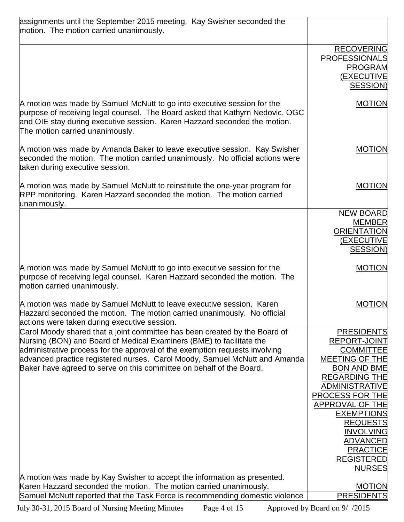| assignments until the September 2015 meeting. Kay Swisher seconded the<br>motion. The motion carried unanimously.                                                                                                                                                        |                                             |
|--------------------------------------------------------------------------------------------------------------------------------------------------------------------------------------------------------------------------------------------------------------------------|---------------------------------------------|
|                                                                                                                                                                                                                                                                          |                                             |
|                                                                                                                                                                                                                                                                          | <b>RECOVERING</b><br><b>PROFESSIONALS</b>   |
|                                                                                                                                                                                                                                                                          | <b>PROGRAM</b><br><b>(EXECUTIVE</b>         |
|                                                                                                                                                                                                                                                                          | <b>SESSION)</b>                             |
| A motion was made by Samuel McNutt to go into executive session for the<br>purpose of receiving legal counsel. The Board asked that Kathyrn Nedovic, OGC<br>and OIE stay during executive session. Karen Hazzard seconded the motion.<br>The motion carried unanimously. | <b>MOTION</b>                               |
| A motion was made by Amanda Baker to leave executive session. Kay Swisher<br>seconded the motion. The motion carried unanimously. No official actions were<br>taken during executive session.                                                                            | <b>MOTION</b>                               |
| A motion was made by Samuel McNutt to reinstitute the one-year program for<br>RPP monitoring. Karen Hazzard seconded the motion. The motion carried<br>unanimously.                                                                                                      | <b>MOTION</b>                               |
|                                                                                                                                                                                                                                                                          | <b>NEW BOARD</b>                            |
|                                                                                                                                                                                                                                                                          | <b>MEMBER</b>                               |
|                                                                                                                                                                                                                                                                          | <b>ORIENTATION</b>                          |
|                                                                                                                                                                                                                                                                          | (EXECUTIVE<br><b>SESSION)</b>               |
|                                                                                                                                                                                                                                                                          |                                             |
| A motion was made by Samuel McNutt to go into executive session for the<br>purpose of receiving legal counsel. Karen Hazzard seconded the motion. The<br>motion carried unanimously.                                                                                     | <b>MOTION</b>                               |
| A motion was made by Samuel McNutt to leave executive session. Karen<br>Hazzard seconded the motion. The motion carried unanimously. No official<br>actions were taken during executive session.                                                                         | <b>MOTION</b>                               |
| Carol Moody shared that a joint committee has been created by the Board of                                                                                                                                                                                               | <b>PRESIDENTS</b>                           |
| Nursing (BON) and Board of Medical Examiners (BME) to facilitate the                                                                                                                                                                                                     | <b>REPORT-JOINT</b>                         |
| administrative process for the approval of the exemption requests involving                                                                                                                                                                                              | <b>COMMITTEE</b>                            |
| advanced practice registered nurses. Carol Moody, Samuel McNutt and Amanda<br>Baker have agreed to serve on this committee on behalf of the Board.                                                                                                                       | <b>MEETING OF THE</b><br><b>BON AND BME</b> |
|                                                                                                                                                                                                                                                                          | <b>REGARDING THE</b>                        |
|                                                                                                                                                                                                                                                                          | <b>ADMINISTRATIVE</b>                       |
|                                                                                                                                                                                                                                                                          | PROCESS FOR THE                             |
|                                                                                                                                                                                                                                                                          | APPROVAL OF THE                             |
|                                                                                                                                                                                                                                                                          | <b>EXEMPTIONS</b>                           |
|                                                                                                                                                                                                                                                                          | <b>REQUESTS</b><br><b>INVOLVING</b>         |
|                                                                                                                                                                                                                                                                          | <b>ADVANCED</b>                             |
|                                                                                                                                                                                                                                                                          | <b>PRACTICE</b>                             |
|                                                                                                                                                                                                                                                                          | <b>REGISTERED</b>                           |
|                                                                                                                                                                                                                                                                          | <b>NURSES</b>                               |
| A motion was made by Kay Swisher to accept the information as presented.                                                                                                                                                                                                 |                                             |
| Karen Hazzard seconded the motion. The motion carried unanimously.<br>Samuel McNutt reported that the Task Force is recommending domestic violence                                                                                                                       | <b>MOTION</b><br><b>PRESIDENTS</b>          |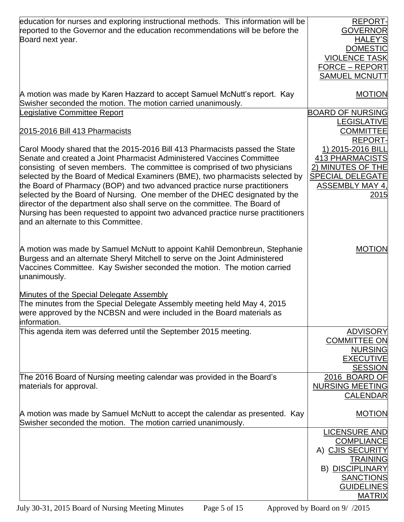| education for nurses and exploring instructional methods. This information will be<br>reported to the Governor and the education recommendations will be before the<br>Board next year.                                                              | <b>REPORT-</b><br><b>GOVERNOR</b><br><b>HALEY'S</b><br><b>DOMESTIC</b><br><b>VIOLENCE TASK</b><br><b>FORCE - REPORT</b><br><b>SAMUEL MCNUTT</b> |
|------------------------------------------------------------------------------------------------------------------------------------------------------------------------------------------------------------------------------------------------------|-------------------------------------------------------------------------------------------------------------------------------------------------|
| A motion was made by Karen Hazzard to accept Samuel McNutt's report. Kay                                                                                                                                                                             | <b>MOTION</b>                                                                                                                                   |
| Swisher seconded the motion. The motion carried unanimously.                                                                                                                                                                                         |                                                                                                                                                 |
| Legislative Committee Report                                                                                                                                                                                                                         | <b>BOARD OF NURSING</b>                                                                                                                         |
| 2015-2016 Bill 413 Pharmacists                                                                                                                                                                                                                       | <b>LEGISLATIVE</b><br><b>COMMITTEE</b>                                                                                                          |
|                                                                                                                                                                                                                                                      | <b>REPORT-</b>                                                                                                                                  |
| Carol Moody shared that the 2015-2016 Bill 413 Pharmacists passed the State                                                                                                                                                                          | 1) 2015-2016 BILL                                                                                                                               |
| Senate and created a Joint Pharmacist Administered Vaccines Committee                                                                                                                                                                                | <b>413 PHARMACISTS</b>                                                                                                                          |
| consisting of seven members. The committee is comprised of two physicians                                                                                                                                                                            | 2) MINUTES OF THE                                                                                                                               |
| selected by the Board of Medical Examiners (BME), two pharmacists selected by<br>the Board of Pharmacy (BOP) and two advanced practice nurse practitioners                                                                                           | <b>SPECIAL DELEGATE</b><br><b>ASSEMBLY MAY 4,</b>                                                                                               |
| selected by the Board of Nursing. One member of the DHEC designated by the                                                                                                                                                                           | 2015                                                                                                                                            |
| director of the department also shall serve on the committee. The Board of                                                                                                                                                                           |                                                                                                                                                 |
| Nursing has been requested to appoint two advanced practice nurse practitioners                                                                                                                                                                      |                                                                                                                                                 |
| and an alternate to this Committee.                                                                                                                                                                                                                  |                                                                                                                                                 |
|                                                                                                                                                                                                                                                      |                                                                                                                                                 |
| A motion was made by Samuel McNutt to appoint Kahlil Demonbreun, Stephanie<br>Burgess and an alternate Sheryl Mitchell to serve on the Joint Administered<br>Vaccines Committee. Kay Swisher seconded the motion. The motion carried<br>unanimously. | <b>MOTION</b>                                                                                                                                   |
|                                                                                                                                                                                                                                                      |                                                                                                                                                 |
| Minutes of the Special Delegate Assembly<br>The minutes from the Special Delegate Assembly meeting held May 4, 2015<br>were approved by the NCBSN and were included in the Board materials as<br>information.                                        |                                                                                                                                                 |
| This agenda item was deferred until the September 2015 meeting.                                                                                                                                                                                      | <b>ADVISORY</b>                                                                                                                                 |
|                                                                                                                                                                                                                                                      | <b>COMMITTEE ON</b>                                                                                                                             |
|                                                                                                                                                                                                                                                      | <b>NURSING</b>                                                                                                                                  |
|                                                                                                                                                                                                                                                      | <b>EXECUTIVE</b>                                                                                                                                |
| The 2016 Board of Nursing meeting calendar was provided in the Board's                                                                                                                                                                               | <b>SESSION</b><br>2016 BOARD OF                                                                                                                 |
| materials for approval.                                                                                                                                                                                                                              | <b>NURSING MEETING</b>                                                                                                                          |
|                                                                                                                                                                                                                                                      | <b>CALENDAR</b>                                                                                                                                 |
|                                                                                                                                                                                                                                                      |                                                                                                                                                 |
| A motion was made by Samuel McNutt to accept the calendar as presented. Kay                                                                                                                                                                          | <b>MOTION</b>                                                                                                                                   |
| Swisher seconded the motion. The motion carried unanimously.                                                                                                                                                                                         | <b>LICENSURE AND</b>                                                                                                                            |
|                                                                                                                                                                                                                                                      | <b>COMPLIANCE</b>                                                                                                                               |
|                                                                                                                                                                                                                                                      | A) CJIS SECURITY                                                                                                                                |
|                                                                                                                                                                                                                                                      | <b>TRAINING</b>                                                                                                                                 |
|                                                                                                                                                                                                                                                      | <b>B) DISCIPLINARY</b>                                                                                                                          |
|                                                                                                                                                                                                                                                      | <b>SANCTIONS</b><br><b>GUIDELINES</b>                                                                                                           |
|                                                                                                                                                                                                                                                      | <b>MATRIX</b>                                                                                                                                   |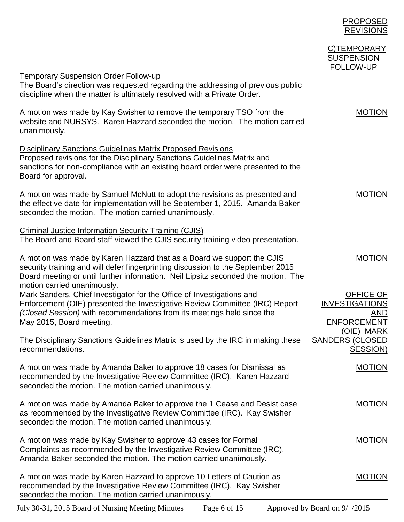|                                                                                                                                                                                                                                                                                | <b>PROPOSED</b><br><b>REVISIONS</b>                                           |
|--------------------------------------------------------------------------------------------------------------------------------------------------------------------------------------------------------------------------------------------------------------------------------|-------------------------------------------------------------------------------|
|                                                                                                                                                                                                                                                                                | C)TEMPORARY<br><b>SUSPENSION</b><br>FOLLOW-UP                                 |
| <b>Temporary Suspension Order Follow-up</b><br>The Board's direction was requested regarding the addressing of previous public<br>discipline when the matter is ultimately resolved with a Private Order.                                                                      |                                                                               |
| A motion was made by Kay Swisher to remove the temporary TSO from the<br>website and NURSYS. Karen Hazzard seconded the motion. The motion carried<br>unanimously.                                                                                                             | <b>MOTION</b>                                                                 |
| <b>Disciplinary Sanctions Guidelines Matrix Proposed Revisions</b><br>Proposed revisions for the Disciplinary Sanctions Guidelines Matrix and<br>sanctions for non-compliance with an existing board order were presented to the<br>Board for approval.                        |                                                                               |
| A motion was made by Samuel McNutt to adopt the revisions as presented and<br>the effective date for implementation will be September 1, 2015. Amanda Baker<br>seconded the motion. The motion carried unanimously.                                                            | <b>MOTION</b>                                                                 |
| <b>Criminal Justice Information Security Training (CJIS)</b><br>The Board and Board staff viewed the CJIS security training video presentation.                                                                                                                                |                                                                               |
| A motion was made by Karen Hazzard that as a Board we support the CJIS<br>security training and will defer fingerprinting discussion to the September 2015<br>Board meeting or until further information. Neil Lipsitz seconded the motion. The<br>motion carried unanimously. | <b>MOTION</b>                                                                 |
| Mark Sanders, Chief Investigator for the Office of Investigations and<br>Enforcement (OIE) presented the Investigative Review Committee (IRC) Report<br>(Closed Session) with recommendations from its meetings held since the<br>May 2015, Board meeting.                     | <b>OFFICE OF</b><br><b>INVESTIGATIONS</b><br><u>AND</u><br><b>ENFORCEMENT</b> |
| The Disciplinary Sanctions Guidelines Matrix is used by the IRC in making these<br>recommendations.                                                                                                                                                                            | (OIE) MARK<br><b>SANDERS (CLOSED)</b><br><b>SESSION)</b>                      |
| A motion was made by Amanda Baker to approve 18 cases for Dismissal as<br>recommended by the Investigative Review Committee (IRC). Karen Hazzard<br>seconded the motion. The motion carried unanimously.                                                                       | <b>MOTION</b>                                                                 |
| A motion was made by Amanda Baker to approve the 1 Cease and Desist case<br>as recommended by the Investigative Review Committee (IRC). Kay Swisher<br>seconded the motion. The motion carried unanimously.                                                                    | <b>MOTION</b>                                                                 |
| A motion was made by Kay Swisher to approve 43 cases for Formal<br>Complaints as recommended by the Investigative Review Committee (IRC).<br>Amanda Baker seconded the motion. The motion carried unanimously.                                                                 | <b>MOTION</b>                                                                 |
| A motion was made by Karen Hazzard to approve 10 Letters of Caution as<br>recommended by the Investigative Review Committee (IRC). Kay Swisher<br>seconded the motion. The motion carried unanimously.                                                                         | <b>MOTION</b>                                                                 |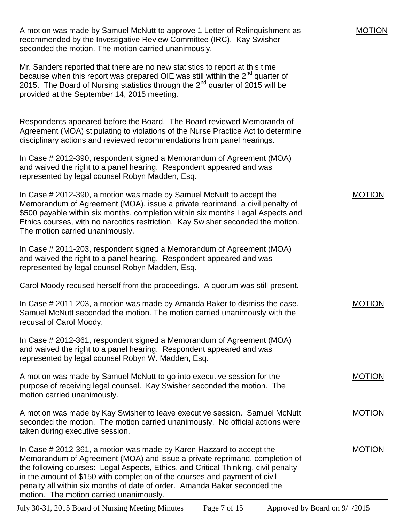| A motion was made by Samuel McNutt to approve 1 Letter of Relinguishment as<br>recommended by the Investigative Review Committee (IRC). Kay Swisher<br>seconded the motion. The motion carried unanimously.                                                                                                                                                                                                                                       | <b>MOTION</b> |
|---------------------------------------------------------------------------------------------------------------------------------------------------------------------------------------------------------------------------------------------------------------------------------------------------------------------------------------------------------------------------------------------------------------------------------------------------|---------------|
| Mr. Sanders reported that there are no new statistics to report at this time<br>because when this report was prepared OIE was still within the $2^{nd}$ quarter of<br>2015. The Board of Nursing statistics through the 2 <sup>nd</sup> quarter of 2015 will be<br>provided at the September 14, 2015 meeting.                                                                                                                                    |               |
| Respondents appeared before the Board. The Board reviewed Memoranda of<br>Agreement (MOA) stipulating to violations of the Nurse Practice Act to determine<br>disciplinary actions and reviewed recommendations from panel hearings.                                                                                                                                                                                                              |               |
| In Case # 2012-390, respondent signed a Memorandum of Agreement (MOA)<br>and waived the right to a panel hearing. Respondent appeared and was<br>represented by legal counsel Robyn Madden, Esq.                                                                                                                                                                                                                                                  |               |
| In Case $\#$ 2012-390, a motion was made by Samuel McNutt to accept the<br>Memorandum of Agreement (MOA), issue a private reprimand, a civil penalty of<br>\$500 payable within six months, completion within six months Legal Aspects and<br>Ethics courses, with no narcotics restriction. Kay Swisher seconded the motion.<br>The motion carried unanimously.                                                                                  | <b>MOTION</b> |
| In Case $\#$ 2011-203, respondent signed a Memorandum of Agreement (MOA)<br>and waived the right to a panel hearing. Respondent appeared and was<br>represented by legal counsel Robyn Madden, Esq.                                                                                                                                                                                                                                               |               |
| Carol Moody recused herself from the proceedings. A quorum was still present.                                                                                                                                                                                                                                                                                                                                                                     |               |
| In Case # 2011-203, a motion was made by Amanda Baker to dismiss the case.<br>Samuel McNutt seconded the motion. The motion carried unanimously with the<br>recusal of Carol Moody.                                                                                                                                                                                                                                                               | <b>MOTION</b> |
| In Case $\#$ 2012-361, respondent signed a Memorandum of Agreement (MOA)<br>and waived the right to a panel hearing. Respondent appeared and was<br>represented by legal counsel Robyn W. Madden, Esq.                                                                                                                                                                                                                                            |               |
| A motion was made by Samuel McNutt to go into executive session for the<br>purpose of receiving legal counsel. Kay Swisher seconded the motion. The<br>motion carried unanimously.                                                                                                                                                                                                                                                                | <b>MOTION</b> |
| A motion was made by Kay Swisher to leave executive session. Samuel McNutt<br>seconded the motion. The motion carried unanimously. No official actions were<br>taken during executive session.                                                                                                                                                                                                                                                    | <b>MOTION</b> |
| In Case $\#$ 2012-361, a motion was made by Karen Hazzard to accept the<br>Memorandum of Agreement (MOA) and issue a private reprimand, completion of<br>the following courses: Legal Aspects, Ethics, and Critical Thinking, civil penalty<br>in the amount of \$150 with completion of the courses and payment of civil<br>penalty all within six months of date of order. Amanda Baker seconded the<br>motion. The motion carried unanimously. | <b>MOTION</b> |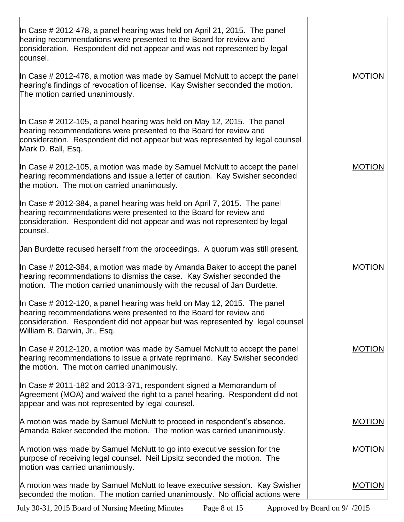| In Case # 2012-478, a panel hearing was held on April 21, 2015. The panel<br>hearing recommendations were presented to the Board for review and<br>consideration. Respondent did not appear and was not represented by legal<br>counsel.                       |               |
|----------------------------------------------------------------------------------------------------------------------------------------------------------------------------------------------------------------------------------------------------------------|---------------|
| In Case # 2012-478, a motion was made by Samuel McNutt to accept the panel<br>hearing's findings of revocation of license. Kay Swisher seconded the motion.<br>The motion carried unanimously.                                                                 | <b>MOTION</b> |
| In Case # 2012-105, a panel hearing was held on May 12, 2015. The panel<br>hearing recommendations were presented to the Board for review and<br>consideration. Respondent did not appear but was represented by legal counsel<br>Mark D. Ball, Esq.           |               |
| In Case # 2012-105, a motion was made by Samuel McNutt to accept the panel<br>hearing recommendations and issue a letter of caution. Kay Swisher seconded<br>the motion. The motion carried unanimously.                                                       | <b>MOTION</b> |
| In Case $\#$ 2012-384, a panel hearing was held on April 7, 2015. The panel<br>hearing recommendations were presented to the Board for review and<br>consideration. Respondent did not appear and was not represented by legal<br>counsel.                     |               |
| Uan Burdette recused herself from the proceedings. A quorum was still present.                                                                                                                                                                                 |               |
| In Case # 2012-384, a motion was made by Amanda Baker to accept the panel<br>hearing recommendations to dismiss the case. Kay Swisher seconded the<br>motion. The motion carried unanimously with the recusal of Jan Burdette.                                 | <b>MOTION</b> |
| In Case # 2012-120, a panel hearing was held on May 12, 2015. The panel<br>hearing recommendations were presented to the Board for review and<br>consideration. Respondent did not appear but was represented by legal counsel<br>William B. Darwin, Jr., Esq. |               |
| In Case # 2012-120, a motion was made by Samuel McNutt to accept the panel<br>hearing recommendations to issue a private reprimand. Kay Swisher seconded<br>the motion. The motion carried unanimously.                                                        | <b>MOTION</b> |
| In Case # 2011-182 and 2013-371, respondent signed a Memorandum of<br>Agreement (MOA) and waived the right to a panel hearing. Respondent did not<br>appear and was not represented by legal counsel.                                                          |               |
| A motion was made by Samuel McNutt to proceed in respondent's absence.<br>Amanda Baker seconded the motion. The motion was carried unanimously.                                                                                                                | <b>MOTION</b> |
| A motion was made by Samuel McNutt to go into executive session for the<br>purpose of receiving legal counsel. Neil Lipsitz seconded the motion. The<br>motion was carried unanimously.                                                                        | <b>MOTION</b> |
| A motion was made by Samuel McNutt to leave executive session. Kay Swisher<br>seconded the motion. The motion carried unanimously. No official actions were                                                                                                    | <b>MOTION</b> |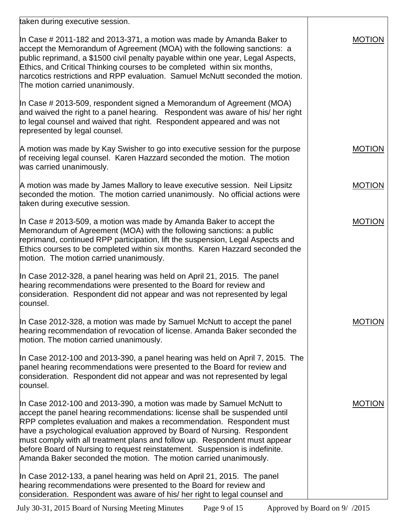| taken during executive session.                                                                                                                                                                                                                                                                                                                                                                                                                                                                                                          |               |
|------------------------------------------------------------------------------------------------------------------------------------------------------------------------------------------------------------------------------------------------------------------------------------------------------------------------------------------------------------------------------------------------------------------------------------------------------------------------------------------------------------------------------------------|---------------|
| In Case # 2011-182 and 2013-371, a motion was made by Amanda Baker to<br>accept the Memorandum of Agreement (MOA) with the following sanctions: a<br>public reprimand, a \$1500 civil penalty payable within one year, Legal Aspects,<br>Ethics, and Critical Thinking courses to be completed within six months,<br>harcotics restrictions and RPP evaluation. Samuel McNutt seconded the motion.<br>The motion carried unanimously.                                                                                                    | <b>MOTION</b> |
| In Case $\#$ 2013-509, respondent signed a Memorandum of Agreement (MOA)<br>and waived the right to a panel hearing. Respondent was aware of his/ her right<br>to legal counsel and waived that right. Respondent appeared and was not<br>represented by legal counsel.                                                                                                                                                                                                                                                                  |               |
| A motion was made by Kay Swisher to go into executive session for the purpose<br>of receiving legal counsel. Karen Hazzard seconded the motion. The motion<br>was carried unanimously.                                                                                                                                                                                                                                                                                                                                                   | <b>MOTION</b> |
| A motion was made by James Mallory to leave executive session. Neil Lipsitz<br>seconded the motion. The motion carried unanimously. No official actions were<br>taken during executive session.                                                                                                                                                                                                                                                                                                                                          | <b>MOTION</b> |
| In Case # 2013-509, a motion was made by Amanda Baker to accept the<br>Memorandum of Agreement (MOA) with the following sanctions: a public<br>reprimand, continued RPP participation, lift the suspension, Legal Aspects and<br>Ethics courses to be completed within six months. Karen Hazzard seconded the<br>motion. The motion carried unanimously.                                                                                                                                                                                 | <b>MOTION</b> |
| In Case 2012-328, a panel hearing was held on April 21, 2015. The panel<br>hearing recommendations were presented to the Board for review and<br>consideration. Respondent did not appear and was not represented by legal<br>counsel.                                                                                                                                                                                                                                                                                                   |               |
| In Case 2012-328, a motion was made by Samuel McNutt to accept the panel<br>hearing recommendation of revocation of license. Amanda Baker seconded the<br>motion. The motion carried unanimously.                                                                                                                                                                                                                                                                                                                                        | MOTION        |
| In Case 2012-100 and 2013-390, a panel hearing was held on April 7, 2015. The<br>panel hearing recommendations were presented to the Board for review and<br>consideration. Respondent did not appear and was not represented by legal<br>counsel.                                                                                                                                                                                                                                                                                       |               |
| In Case 2012-100 and 2013-390, a motion was made by Samuel McNutt to<br>accept the panel hearing recommendations: license shall be suspended until<br>RPP completes evaluation and makes a recommendation. Respondent must<br>have a psychological evaluation approved by Board of Nursing. Respondent<br>must comply with all treatment plans and follow up. Respondent must appear<br>before Board of Nursing to request reinstatement. Suspension is indefinite.<br>Amanda Baker seconded the motion. The motion carried unanimously. | <b>MOTION</b> |
| In Case 2012-133, a panel hearing was held on April 21, 2015. The panel<br>hearing recommendations were presented to the Board for review and<br>consideration. Respondent was aware of his/ her right to legal counsel and                                                                                                                                                                                                                                                                                                              |               |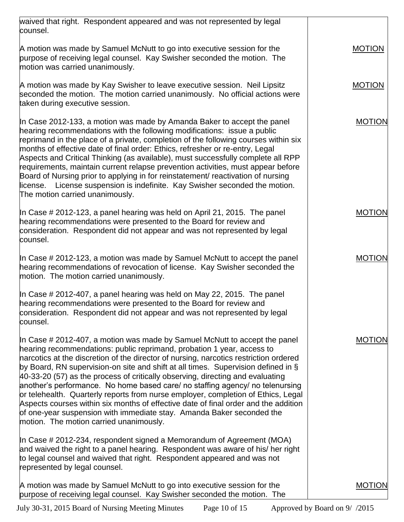| waived that right. Respondent appeared and was not represented by legal<br>counsel.                                                                                                                                                                                                                                                                                                                                                                                                                                                                                                                                                                                                                                                                                                                   |               |
|-------------------------------------------------------------------------------------------------------------------------------------------------------------------------------------------------------------------------------------------------------------------------------------------------------------------------------------------------------------------------------------------------------------------------------------------------------------------------------------------------------------------------------------------------------------------------------------------------------------------------------------------------------------------------------------------------------------------------------------------------------------------------------------------------------|---------------|
| A motion was made by Samuel McNutt to go into executive session for the<br>purpose of receiving legal counsel. Kay Swisher seconded the motion. The<br>motion was carried unanimously.                                                                                                                                                                                                                                                                                                                                                                                                                                                                                                                                                                                                                | <b>MOTION</b> |
| A motion was made by Kay Swisher to leave executive session. Neil Lipsitz<br>seconded the motion. The motion carried unanimously. No official actions were<br>taken during executive session.                                                                                                                                                                                                                                                                                                                                                                                                                                                                                                                                                                                                         | <b>MOTION</b> |
| In Case 2012-133, a motion was made by Amanda Baker to accept the panel<br>hearing recommendations with the following modifications: issue a public<br>reprimand in the place of a private, completion of the following courses within six<br>months of effective date of final order: Ethics, refresher or re-entry, Legal<br>Aspects and Critical Thinking (as available), must successfully complete all RPP<br>requirements, maintain current relapse prevention activities, must appear before<br>Board of Nursing prior to applying in for reinstatement/ reactivation of nursing<br>license. License suspension is indefinite. Kay Swisher seconded the motion.<br>The motion carried unanimously.                                                                                             | <b>MOTION</b> |
| In Case # 2012-123, a panel hearing was held on April 21, 2015. The panel<br>hearing recommendations were presented to the Board for review and<br>consideration. Respondent did not appear and was not represented by legal<br>counsel.                                                                                                                                                                                                                                                                                                                                                                                                                                                                                                                                                              | <b>MOTION</b> |
| In Case # 2012-123, a motion was made by Samuel McNutt to accept the panel<br>hearing recommendations of revocation of license. Kay Swisher seconded the<br>motion. The motion carried unanimously.                                                                                                                                                                                                                                                                                                                                                                                                                                                                                                                                                                                                   | <b>MOTION</b> |
| In Case # 2012-407, a panel hearing was held on May 22, 2015. The panel<br>hearing recommendations were presented to the Board for review and<br>consideration. Respondent did not appear and was not represented by legal<br>counsel.                                                                                                                                                                                                                                                                                                                                                                                                                                                                                                                                                                |               |
| In Case # 2012-407, a motion was made by Samuel McNutt to accept the panel<br>hearing recommendations: public reprimand, probation 1 year, access to<br>narcotics at the discretion of the director of nursing, narcotics restriction ordered<br>by Board, RN supervision-on site and shift at all times. Supervision defined in §<br>40-33-20 (57) as the process of critically observing, directing and evaluating<br>another's performance. No home based care/ no staffing agency/ no telenursing<br>or telehealth. Quarterly reports from nurse employer, completion of Ethics, Legal<br>Aspects courses within six months of effective date of final order and the addition<br>of one-year suspension with immediate stay. Amanda Baker seconded the<br>motion. The motion carried unanimously. | <b>MOTION</b> |
| In Case # 2012-234, respondent signed a Memorandum of Agreement (MOA)<br>and waived the right to a panel hearing. Respondent was aware of his/ her right<br>to legal counsel and waived that right. Respondent appeared and was not<br>represented by legal counsel.                                                                                                                                                                                                                                                                                                                                                                                                                                                                                                                                  |               |
| A motion was made by Samuel McNutt to go into executive session for the<br>purpose of receiving legal counsel. Kay Swisher seconded the motion. The                                                                                                                                                                                                                                                                                                                                                                                                                                                                                                                                                                                                                                                   | <b>MOTION</b> |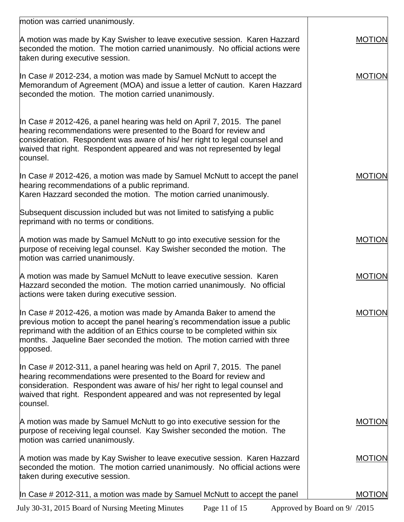| motion was carried unanimously.                                                                                                                                                                                                                                                                                             |               |
|-----------------------------------------------------------------------------------------------------------------------------------------------------------------------------------------------------------------------------------------------------------------------------------------------------------------------------|---------------|
| A motion was made by Kay Swisher to leave executive session. Karen Hazzard<br>seconded the motion. The motion carried unanimously. No official actions were<br>taken during executive session.                                                                                                                              | <b>MOTION</b> |
| In Case $\#$ 2012-234, a motion was made by Samuel McNutt to accept the<br>Memorandum of Agreement (MOA) and issue a letter of caution. Karen Hazzard<br>seconded the motion. The motion carried unanimously.                                                                                                               | <b>MOTION</b> |
| In Case # 2012-426, a panel hearing was held on April 7, 2015. The panel<br>hearing recommendations were presented to the Board for review and<br>consideration. Respondent was aware of his/ her right to legal counsel and<br>waived that right. Respondent appeared and was not represented by legal<br>counsel.         |               |
| In Case $\#$ 2012-426, a motion was made by Samuel McNutt to accept the panel<br>hearing recommendations of a public reprimand.<br>Karen Hazzard seconded the motion. The motion carried unanimously.                                                                                                                       | <b>MOTION</b> |
| Subsequent discussion included but was not limited to satisfying a public<br>reprimand with no terms or conditions.                                                                                                                                                                                                         |               |
| A motion was made by Samuel McNutt to go into executive session for the<br>purpose of receiving legal counsel. Kay Swisher seconded the motion. The<br>motion was carried unanimously.                                                                                                                                      | <b>MOTION</b> |
| A motion was made by Samuel McNutt to leave executive session. Karen<br>Hazzard seconded the motion. The motion carried unanimously. No official<br>actions were taken during executive session.                                                                                                                            | <b>MOTION</b> |
| In Case $\#$ 2012-426, a motion was made by Amanda Baker to amend the<br>previous motion to accept the panel hearing's recommendation issue a public<br>reprimand with the addition of an Ethics course to be completed within six<br>months. Jaqueline Baer seconded the motion. The motion carried with three<br>opposed. | <b>MOTION</b> |
| In Case # 2012-311, a panel hearing was held on April 7, 2015. The panel<br>hearing recommendations were presented to the Board for review and<br>consideration. Respondent was aware of his/ her right to legal counsel and<br>waived that right. Respondent appeared and was not represented by legal<br>counsel.         |               |
| A motion was made by Samuel McNutt to go into executive session for the<br>purpose of receiving legal counsel. Kay Swisher seconded the motion. The<br>motion was carried unanimously.                                                                                                                                      | <b>MOTION</b> |
| A motion was made by Kay Swisher to leave executive session. Karen Hazzard<br>seconded the motion. The motion carried unanimously. No official actions were<br>taken during executive session.                                                                                                                              | <b>MOTION</b> |
| In Case # 2012-311, a motion was made by Samuel McNutt to accept the panel                                                                                                                                                                                                                                                  | <b>MOTION</b> |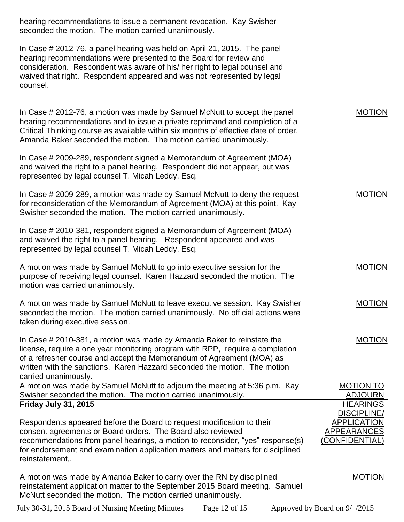| hearing recommendations to issue a permanent revocation. Kay Swisher<br>seconded the motion. The motion carried unanimously.                                                                                                                                                                                                             |                                                                                  |
|------------------------------------------------------------------------------------------------------------------------------------------------------------------------------------------------------------------------------------------------------------------------------------------------------------------------------------------|----------------------------------------------------------------------------------|
| In Case # 2012-76, a panel hearing was held on April 21, 2015. The panel<br>hearing recommendations were presented to the Board for review and<br>consideration. Respondent was aware of his/ her right to legal counsel and<br>waived that right. Respondent appeared and was not represented by legal<br>counsel.                      |                                                                                  |
| In Case # 2012-76, a motion was made by Samuel McNutt to accept the panel<br>hearing recommendations and to issue a private reprimand and completion of a<br>Critical Thinking course as available within six months of effective date of order.<br>Amanda Baker seconded the motion. The motion carried unanimously.                    | <b>MOTION</b>                                                                    |
| In Case # 2009-289, respondent signed a Memorandum of Agreement (MOA)<br>and waived the right to a panel hearing. Respondent did not appear, but was<br>represented by legal counsel T. Micah Leddy, Esq.                                                                                                                                |                                                                                  |
| In Case # 2009-289, a motion was made by Samuel McNutt to deny the request<br>for reconsideration of the Memorandum of Agreement (MOA) at this point. Kay<br>Swisher seconded the motion. The motion carried unanimously.                                                                                                                | <b>MOTION</b>                                                                    |
| In Case # 2010-381, respondent signed a Memorandum of Agreement (MOA)<br>and waived the right to a panel hearing. Respondent appeared and was<br>represented by legal counsel T. Micah Leddy, Esq.                                                                                                                                       |                                                                                  |
| A motion was made by Samuel McNutt to go into executive session for the<br>purpose of receiving legal counsel. Karen Hazzard seconded the motion. The<br>motion was carried unanimously.                                                                                                                                                 | <b>MOTION</b>                                                                    |
| A motion was made by Samuel McNutt to leave executive session. Kay Swisher<br>seconded the motion. The motion carried unanimously. No official actions were<br>taken during executive session.                                                                                                                                           | <b>MOTION</b>                                                                    |
| In Case $\#$ 2010-381, a motion was made by Amanda Baker to reinstate the<br>license, require a one year monitoring program with RPP, require a completion<br>of a refresher course and accept the Memorandum of Agreement (MOA) as<br>written with the sanctions. Karen Hazzard seconded the motion. The motion<br>carried unanimously. | <b>MOTION</b>                                                                    |
| A motion was made by Samuel McNutt to adjourn the meeting at 5:36 p.m. Kay<br>Swisher seconded the motion. The motion carried unanimously.                                                                                                                                                                                               | <b>MOTION TO</b><br><b>ADJOURN</b>                                               |
| Friday July 31, 2015                                                                                                                                                                                                                                                                                                                     | <b>HEARINGS</b>                                                                  |
| Respondents appeared before the Board to request modification to their<br>consent agreements or Board orders. The Board also reviewed<br>recommendations from panel hearings, a motion to reconsider, "yes" response(s)<br>for endorsement and examination application matters and matters for disciplined<br>reinstatement,.            | <b>DISCIPLINE/</b><br><b>APPLICATION</b><br><b>APPEARANCES</b><br>(CONFIDENTIAL) |
| A motion was made by Amanda Baker to carry over the RN by disciplined<br>reinstatement application matter to the September 2015 Board meeting. Samuel<br>McNutt seconded the motion. The motion carried unanimously.                                                                                                                     | <b>MOTION</b>                                                                    |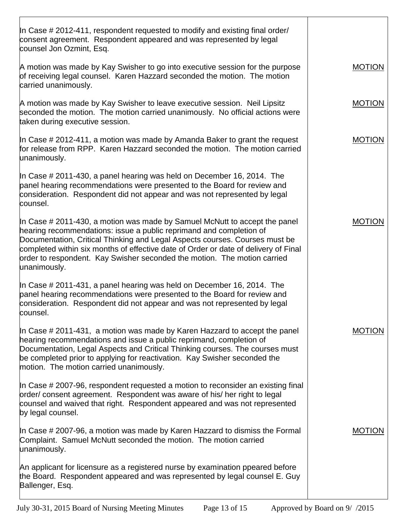| In Case # 2012-411, respondent requested to modify and existing final order/<br>consent agreement. Respondent appeared and was represented by legal<br>counsel Jon Ozmint, Esq.                                                                                                                                                                                                                                     |               |
|---------------------------------------------------------------------------------------------------------------------------------------------------------------------------------------------------------------------------------------------------------------------------------------------------------------------------------------------------------------------------------------------------------------------|---------------|
| A motion was made by Kay Swisher to go into executive session for the purpose<br>of receiving legal counsel. Karen Hazzard seconded the motion. The motion<br>carried unanimously.                                                                                                                                                                                                                                  | <b>MOTION</b> |
| A motion was made by Kay Swisher to leave executive session. Neil Lipsitz<br>seconded the motion. The motion carried unanimously. No official actions were<br>taken during executive session.                                                                                                                                                                                                                       | <b>MOTION</b> |
| In Case # 2012-411, a motion was made by Amanda Baker to grant the request<br>for release from RPP. Karen Hazzard seconded the motion. The motion carried<br>unanimously.                                                                                                                                                                                                                                           | <b>MOTION</b> |
| In Case # 2011-430, a panel hearing was held on December 16, 2014. The<br>panel hearing recommendations were presented to the Board for review and<br>consideration. Respondent did not appear and was not represented by legal<br>counsel.                                                                                                                                                                         |               |
| In Case # 2011-430, a motion was made by Samuel McNutt to accept the panel<br>hearing recommendations: issue a public reprimand and completion of<br>Documentation, Critical Thinking and Legal Aspects courses. Courses must be<br>completed within six months of effective date of Order or date of delivery of Final<br>order to respondent. Kay Swisher seconded the motion. The motion carried<br>unanimously. | <b>MOTION</b> |
| In Case $\#$ 2011-431, a panel hearing was held on December 16, 2014. The<br>panel hearing recommendations were presented to the Board for review and<br>consideration. Respondent did not appear and was not represented by legal<br>counsel.                                                                                                                                                                      |               |
| In Case # 2011-431, a motion was made by Karen Hazzard to accept the panel<br>hearing recommendations and issue a public reprimand, completion of<br>Documentation, Legal Aspects and Critical Thinking courses. The courses must<br>be completed prior to applying for reactivation. Kay Swisher seconded the<br>motion. The motion carried unanimously.                                                           | <b>MOTION</b> |
| In Case # 2007-96, respondent requested a motion to reconsider an existing final<br>order/ consent agreement. Respondent was aware of his/ her right to legal<br>counsel and waived that right. Respondent appeared and was not represented<br>by legal counsel.                                                                                                                                                    |               |
| In Case # 2007-96, a motion was made by Karen Hazzard to dismiss the Formal<br>Complaint. Samuel McNutt seconded the motion. The motion carried<br>unanimously.                                                                                                                                                                                                                                                     | <b>MOTION</b> |
| An applicant for licensure as a registered nurse by examination ppeared before<br>the Board. Respondent appeared and was represented by legal counsel E. Guy<br>Ballenger, Esq.                                                                                                                                                                                                                                     |               |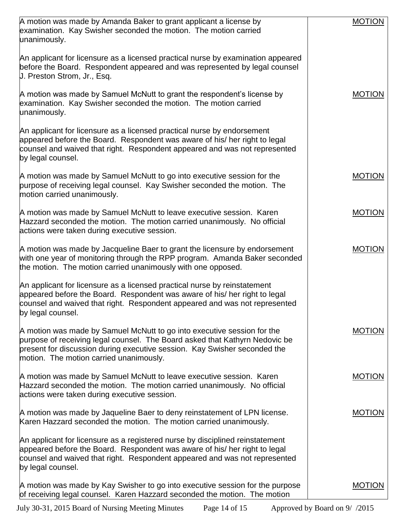| A motion was made by Amanda Baker to grant applicant a license by<br>examination. Kay Swisher seconded the motion. The motion carried<br>unanimously.                                                                                                                          | <b>MOTION</b> |
|--------------------------------------------------------------------------------------------------------------------------------------------------------------------------------------------------------------------------------------------------------------------------------|---------------|
| An applicant for licensure as a licensed practical nurse by examination appeared<br>before the Board. Respondent appeared and was represented by legal counsel<br>U. Preston Strom, Jr., Esq.                                                                                  |               |
| A motion was made by Samuel McNutt to grant the respondent's license by<br>examination. Kay Swisher seconded the motion. The motion carried<br>unanimously.                                                                                                                    | <b>MOTION</b> |
| An applicant for licensure as a licensed practical nurse by endorsement<br>appeared before the Board. Respondent was aware of his/ her right to legal<br>counsel and waived that right. Respondent appeared and was not represented<br>by legal counsel.                       |               |
| A motion was made by Samuel McNutt to go into executive session for the<br>purpose of receiving legal counsel. Kay Swisher seconded the motion. The<br>motion carried unanimously.                                                                                             | <b>MOTION</b> |
| A motion was made by Samuel McNutt to leave executive session. Karen<br>Hazzard seconded the motion. The motion carried unanimously. No official<br>actions were taken during executive session.                                                                               | <b>MOTION</b> |
| A motion was made by Jacqueline Baer to grant the licensure by endorsement<br>with one year of monitoring through the RPP program. Amanda Baker seconded<br>the motion. The motion carried unanimously with one opposed.                                                       | <b>MOTION</b> |
| An applicant for licensure as a licensed practical nurse by reinstatement<br>appeared before the Board. Respondent was aware of his/ her right to legal<br>counsel and waived that right. Respondent appeared and was not represented<br>by legal counsel.                     |               |
| A motion was made by Samuel McNutt to go into executive session for the<br>purpose of receiving legal counsel. The Board asked that Kathyrn Nedovic be<br>present for discussion during executive session. Kay Swisher seconded the<br>motion. The motion carried unanimously. | <b>MOTION</b> |
| A motion was made by Samuel McNutt to leave executive session. Karen<br>Hazzard seconded the motion. The motion carried unanimously. No official<br>actions were taken during executive session.                                                                               | <b>MOTION</b> |
| A motion was made by Jaqueline Baer to deny reinstatement of LPN license.<br>Karen Hazzard seconded the motion. The motion carried unanimously.                                                                                                                                | <b>MOTION</b> |
| An applicant for licensure as a registered nurse by disciplined reinstatement<br>appeared before the Board. Respondent was aware of his/ her right to legal<br>counsel and waived that right. Respondent appeared and was not represented<br>by legal counsel.                 |               |
| A motion was made by Kay Swisher to go into executive session for the purpose<br>of receiving legal counsel. Karen Hazzard seconded the motion. The motion                                                                                                                     | <b>MOTION</b> |